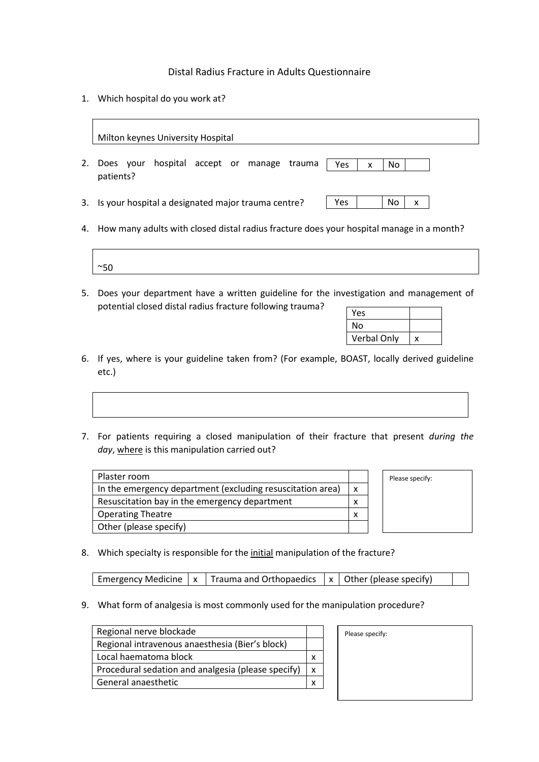## Distal Radius Fracture in Adults Questionnaire

1. Which hospital do you work at?

|    | Milton keynes University Hospital                                            |  |  |  |  |
|----|------------------------------------------------------------------------------|--|--|--|--|
| 2. | hospital accept or manage trauma<br>Does your<br>Yes<br>No<br>X<br>patients? |  |  |  |  |
|    | No<br>Yes<br>3. Is your hospital a designated major trauma centre?<br>x      |  |  |  |  |

4. How many adults with closed distal radius fracture does your hospital manage in a month?

| $\sim$ $\sim$<br><br>◡ |  |  |  |
|------------------------|--|--|--|

5. Does your department have a written guideline for the investigation and management of potential closed distal radius fracture following trauma?

| Yes                |   |
|--------------------|---|
| No                 |   |
| <b>Verbal Only</b> | x |

Please specify:

- 6. If yes, where is your guideline taken from? (For example, BOAST, locally derived guideline etc.)
- 7. For patients requiring a closed manipulation of their fracture that present *during the*  day, where is this manipulation carried out?

| Plaster room                                               |  |
|------------------------------------------------------------|--|
| In the emergency department (excluding resuscitation area) |  |
| Resuscitation bay in the emergency department              |  |
| <b>Operating Theatre</b>                                   |  |
| Other (please specify)                                     |  |

8. Which specialty is responsible for the initial manipulation of the fracture?

Emergency Medicine  $x \mid x$  Trauma and Orthopaedics  $x \mid x$  Other (please specify)

9. What form of analgesia is most commonly used for the manipulation procedure?

| Regional nerve blockade                            |  |
|----------------------------------------------------|--|
| Regional intravenous anaesthesia (Bier's block)    |  |
| Local haematoma block                              |  |
| Procedural sedation and analgesia (please specify) |  |
| General anaesthetic                                |  |

Please specify: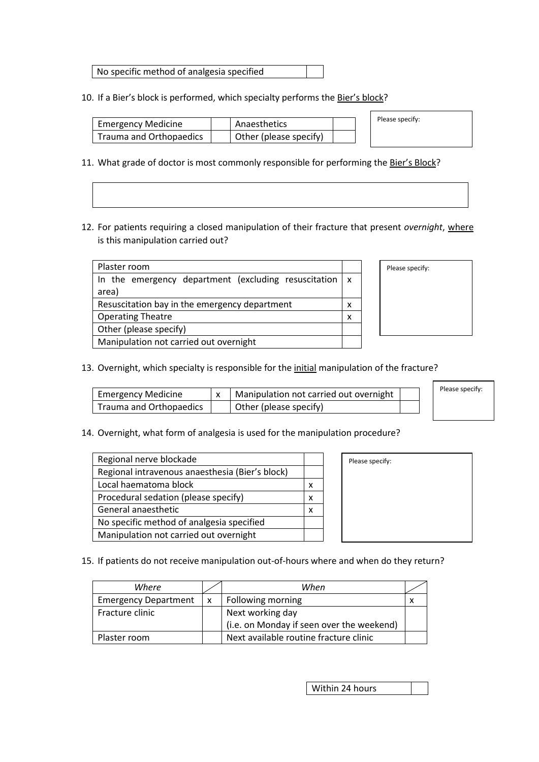No specific method of analgesia specified

10. If a Bier's block is performed, which specialty performs the Bier's block?

| <b>Emergency Medicine</b> | Anaesthetics           |  |
|---------------------------|------------------------|--|
| Trauma and Orthopaedics   | Other (please specify) |  |

- 11. What grade of doctor is most commonly responsible for performing the Bier's Block?
- 12. For patients requiring a closed manipulation of their fracture that present *overnight*, where is this manipulation carried out?

| Plaster room                                                         |  |  |  |  |
|----------------------------------------------------------------------|--|--|--|--|
| In the emergency department (excluding resuscitation $\vert x \vert$ |  |  |  |  |
| area)                                                                |  |  |  |  |
| Resuscitation bay in the emergency department                        |  |  |  |  |
| <b>Operating Theatre</b>                                             |  |  |  |  |
| Other (please specify)                                               |  |  |  |  |
| Manipulation not carried out overnight                               |  |  |  |  |

| Please specify: |  |
|-----------------|--|
|                 |  |
|                 |  |
|                 |  |
|                 |  |

Please specify:

13. Overnight, which specialty is responsible for the initial manipulation of the fracture?

| <b>Emergency Medicine</b> | Manipulation not carried out overnight |  | Please specify: |
|---------------------------|----------------------------------------|--|-----------------|
| Trauma and Orthopaedics   | Other (please specify)                 |  |                 |

14. Overnight, what form of analgesia is used for the manipulation procedure?

| Regional nerve blockade                         |   |
|-------------------------------------------------|---|
| Regional intravenous anaesthesia (Bier's block) |   |
| Local haematoma block                           | x |
| Procedural sedation (please specify)            | x |
| General anaesthetic                             | x |
| No specific method of analgesia specified       |   |
| Manipulation not carried out overnight          |   |

| Please specify: |  |
|-----------------|--|
|                 |  |
|                 |  |
|                 |  |
|                 |  |
|                 |  |
|                 |  |
|                 |  |

15. If patients do not receive manipulation out-of-hours where and when do they return?

| Where                       |              | When                                      |  |
|-----------------------------|--------------|-------------------------------------------|--|
| <b>Emergency Department</b> | $\mathsf{x}$ | Following morning                         |  |
| Fracture clinic             |              | Next working day                          |  |
|                             |              | (i.e. on Monday if seen over the weekend) |  |
| Plaster room                |              | Next available routine fracture clinic    |  |

Within 24 hours